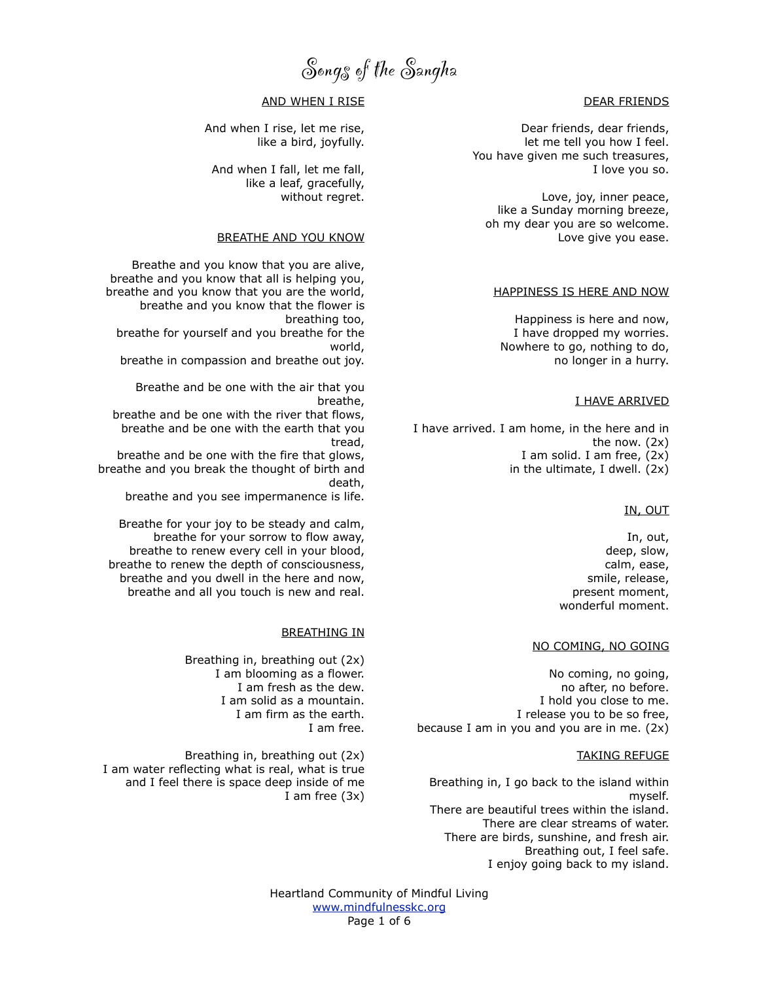Songs of the Sangha

## DEAR FRIENDS

Dear friends, dear friends, let me tell you how I feel. You have given me such treasures, I love you so.

Love, joy, inner peace, like a Sunday morning breeze, oh my dear you are so welcome. Love give you ease.

## HAPPINESS IS HERE AND NOW

Happiness is here and now, I have dropped my worries. Nowhere to go, nothing to do, no longer in a hurry.

#### I HAVE ARRIVED

I have arrived. I am home, in the here and in the now. (2x) I am solid. I am free, (2x) in the ultimate, I dwell. (2x)

## IN, OUT

In, out, deep, slow, calm, ease, smile, release, present moment, wonderful moment.

#### NO COMING, NO GOING

No coming, no going, no after, no before. I hold you close to me. I release you to be so free, because I am in you and you are in me. (2x)

#### TAKING REFUGE

Breathing in, I go back to the island within myself. There are beautiful trees within the island. There are clear streams of water. There are birds, sunshine, and fresh air. Breathing out, I feel safe. I enjoy going back to my island.

#### AND WHEN I RISE

And when I rise, let me rise, like a bird, joyfully.

And when I fall, let me fall, like a leaf, gracefully, without regret.

#### BREATHE AND YOU KNOW

Breathe and you know that you are alive, breathe and you know that all is helping you, breathe and you know that you are the world, breathe and you know that the flower is breathing too,

breathe for yourself and you breathe for the world,

breathe in compassion and breathe out joy.

Breathe and be one with the air that you breathe,

breathe and be one with the river that flows, breathe and be one with the earth that you tread,

breathe and be one with the fire that glows, breathe and you break the thought of birth and death,

breathe and you see impermanence is life.

Breathe for your joy to be steady and calm, breathe for your sorrow to flow away, breathe to renew every cell in your blood, breathe to renew the depth of consciousness, breathe and you dwell in the here and now, breathe and all you touch is new and real.

## BREATHING IN

Breathing in, breathing out (2x) I am blooming as a flower. I am fresh as the dew. I am solid as a mountain. I am firm as the earth. I am free.

Breathing in, breathing out (2x) I am water reflecting what is real, what is true and I feel there is space deep inside of me I am free (3x)

> Heartland Community of Mindful Living [www.mindfulnesskc.org](http://www.mindfulnesskc.org) Page 1 of 6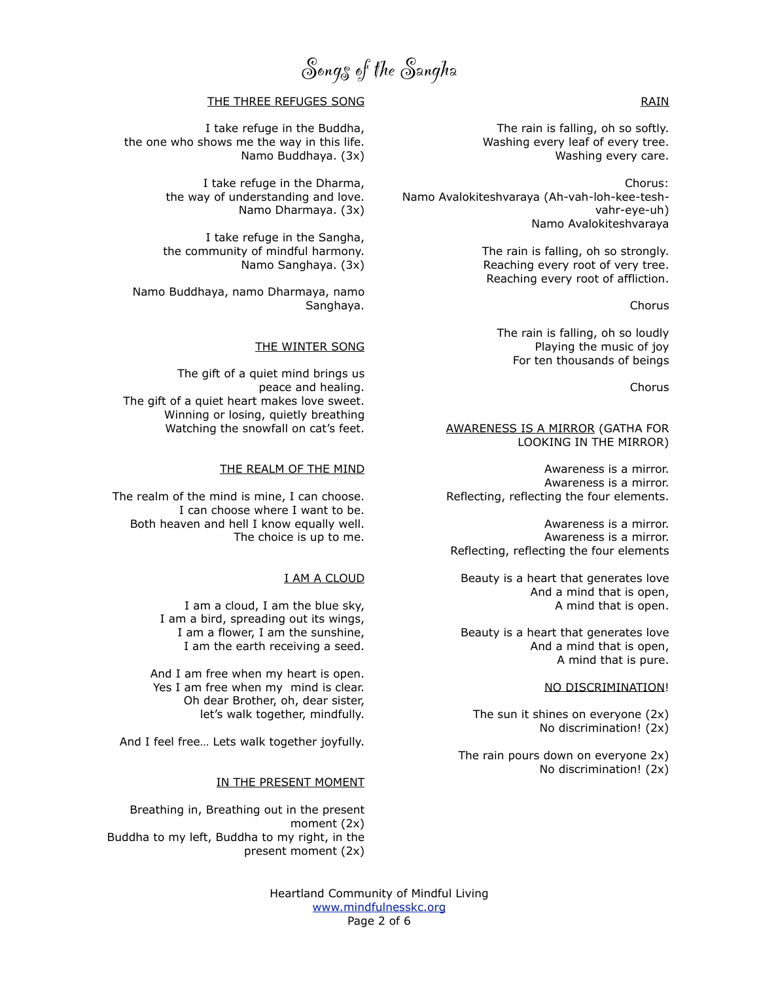# Songs of the Sangha

## RAIN

The rain is falling, oh so softly. Washing every leaf of every tree. Washing every care.

Chorus: Namo Avalokiteshvaraya (Ah-vah-loh-kee-teshvahr-eye-uh) Namo Avalokiteshvaraya

> The rain is falling, oh so strongly. Reaching every root of very tree. Reaching every root of affliction.

## Chorus

The rain is falling, oh so loudly Playing the music of joy For ten thousands of beings

Chorus

AWARENESS IS A MIRROR (GATHA FOR LOOKING IN THE MIRROR)

Awareness is a mirror. Awareness is a mirror. Reflecting, reflecting the four elements.

Awareness is a mirror. Awareness is a mirror. Reflecting, reflecting the four elements

Beauty is a heart that generates love And a mind that is open, A mind that is open.

Beauty is a heart that generates love And a mind that is open, A mind that is pure.

#### NO DISCRIMINATION!

The sun it shines on everyone (2x) No discrimination! (2x)

The rain pours down on everyone 2x) No discrimination! (2x)

## THE THREE REFUGES SONG

I take refuge in the Buddha, the one who shows me the way in this life. Namo Buddhaya. (3x)

> I take refuge in the Dharma, the way of understanding and love. Namo Dharmaya. (3x)

I take refuge in the Sangha, the community of mindful harmony. Namo Sanghaya. (3x)

Namo Buddhaya, namo Dharmaya, namo Sanghaya.

## THE WINTER SONG

The gift of a quiet mind brings us peace and healing. The gift of a quiet heart makes love sweet. Winning or losing, quietly breathing Watching the snowfall on cat's feet.

## THE REALM OF THE MIND

The realm of the mind is mine, I can choose. I can choose where I want to be. Both heaven and hell I know equally well. The choice is up to me.

## I AM A CLOUD

I am a cloud, I am the blue sky, I am a bird, spreading out its wings, I am a flower, I am the sunshine, I am the earth receiving a seed.

And I am free when my heart is open. Yes I am free when my mind is clear. Oh dear Brother, oh, dear sister, let's walk together, mindfully.

And I feel free… Lets walk together joyfully.

#### IN THE PRESENT MOMENT

Breathing in, Breathing out in the present moment (2x) Buddha to my left, Buddha to my right, in the present moment (2x)

> Heartland Community of Mindful Living [www.mindfulnesskc.org](http://www.mindfulnesskc.org) Page 2 of 6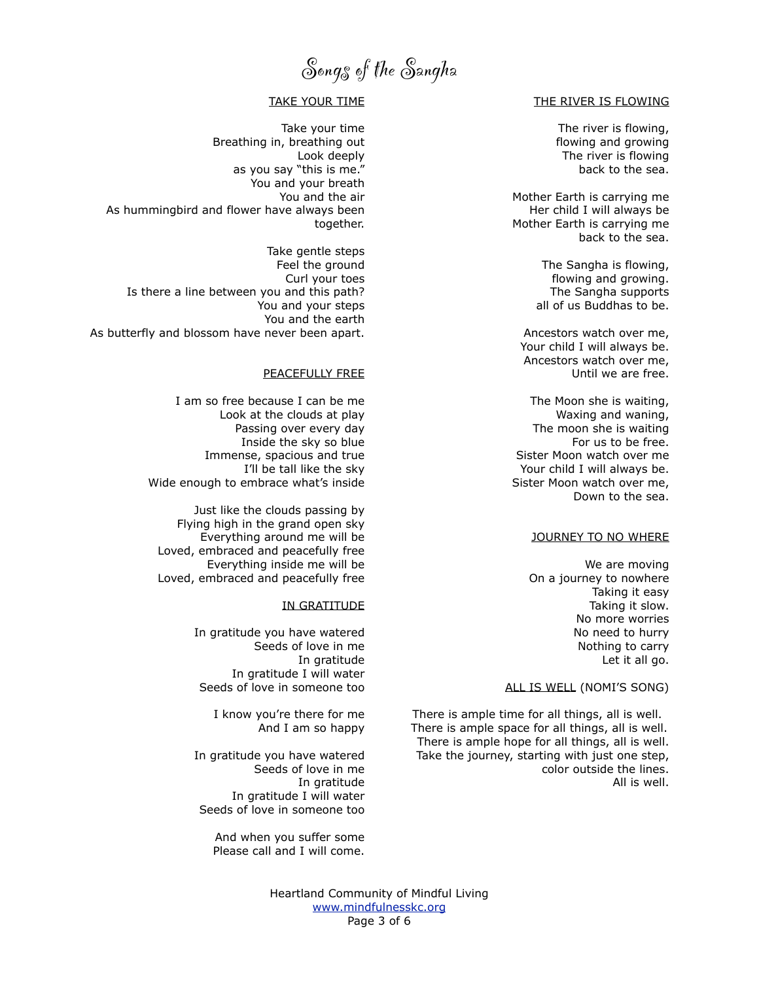Songs of the Sangha

#### THE RIVER IS FLOWING

The river is flowing, flowing and growing The river is flowing back to the sea.

Mother Earth is carrying me Her child I will always be Mother Earth is carrying me back to the sea.

> The Sangha is flowing, flowing and growing. The Sangha supports all of us Buddhas to be.

Ancestors watch over me, Your child I will always be. Ancestors watch over me, Until we are free.

The Moon she is waiting, Waxing and waning, The moon she is waiting For us to be free. Sister Moon watch over me Your child I will always be. Sister Moon watch over me, Down to the sea.

## JOURNEY TO NO WHERE

We are moving On a journey to nowhere Taking it easy Taking it slow. No more worries No need to hurry Nothing to carry Let it all go.

## ALL IS WELL (NOMI'S SONG)

 There is ample time for all things, all is well. There is ample space for all things, all is well. There is ample hope for all things, all is well. Take the journey, starting with just one step, color outside the lines. All is well.

## TAKE YOUR TIME

Take your time Breathing in, breathing out Look deeply as you say "this is me." You and your breath You and the air As hummingbird and flower have always been together.

Take gentle steps Feel the ground Curl your toes Is there a line between you and this path? You and your steps You and the earth As butterfly and blossom have never been apart.

## PEACEFULLY FREE

I am so free because I can be me Look at the clouds at play Passing over every day Inside the sky so blue Immense, spacious and true I'll be tall like the sky Wide enough to embrace what's inside

Just like the clouds passing by Flying high in the grand open sky Everything around me will be Loved, embraced and peacefully free Everything inside me will be Loved, embraced and peacefully free

#### IN GRATITUDE

In gratitude you have watered Seeds of love in me In gratitude In gratitude I will water Seeds of love in someone too

> I know you're there for me And I am so happy

In gratitude you have watered Seeds of love in me In gratitude In gratitude I will water Seeds of love in someone too

> And when you suffer some Please call and I will come.

> > Heartland Community of Mindful Living [www.mindfulnesskc.org](http://www.mindfulnesskc.org) Page 3 of 6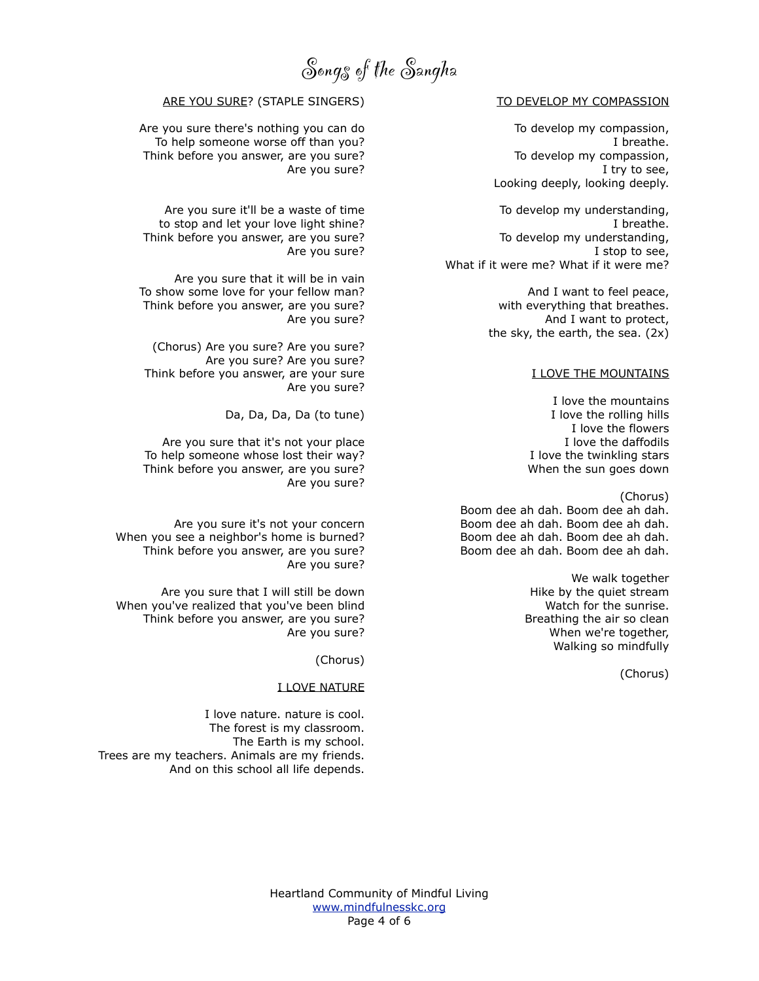Songs of the Sangha

#### TO DEVELOP MY COMPASSION

To develop my compassion, I breathe. To develop my compassion, I try to see, Looking deeply, looking deeply.

To develop my understanding, I breathe. To develop my understanding, I stop to see, What if it were me? What if it were me?

> And I want to feel peace, with everything that breathes. And I want to protect, the sky, the earth, the sea. (2x)

#### I LOVE THE MOUNTAINS

I love the mountains I love the rolling hills I love the flowers I love the daffodils I love the twinkling stars When the sun goes down

(Chorus)

Boom dee ah dah. Boom dee ah dah. Boom dee ah dah. Boom dee ah dah. Boom dee ah dah. Boom dee ah dah. Boom dee ah dah. Boom dee ah dah.

> We walk together Hike by the quiet stream Watch for the sunrise. Breathing the air so clean When we're together, Walking so mindfully

> > (Chorus)

ARE YOU SURE? (STAPLE SINGERS)

Are you sure there's nothing you can do To help someone worse off than you? Think before you answer, are you sure? Are you sure?

Are you sure it'll be a waste of time to stop and let your love light shine? Think before you answer, are you sure? Are you sure?

Are you sure that it will be in vain To show some love for your fellow man? Think before you answer, are you sure? Are you sure?

(Chorus) Are you sure? Are you sure? Are you sure? Are you sure? Think before you answer, are your sure Are you sure?

Da, Da, Da, Da (to tune)

Are you sure that it's not your place To help someone whose lost their way? Think before you answer, are you sure? Are you sure?

Are you sure it's not your concern When you see a neighbor's home is burned? Think before you answer, are you sure? Are you sure?

Are you sure that I will still be down When you've realized that you've been blind Think before you answer, are you sure? Are you sure?

(Chorus)

## I LOVE NATURE

I love nature. nature is cool. The forest is my classroom. The Earth is my school. Trees are my teachers. Animals are my friends. And on this school all life depends.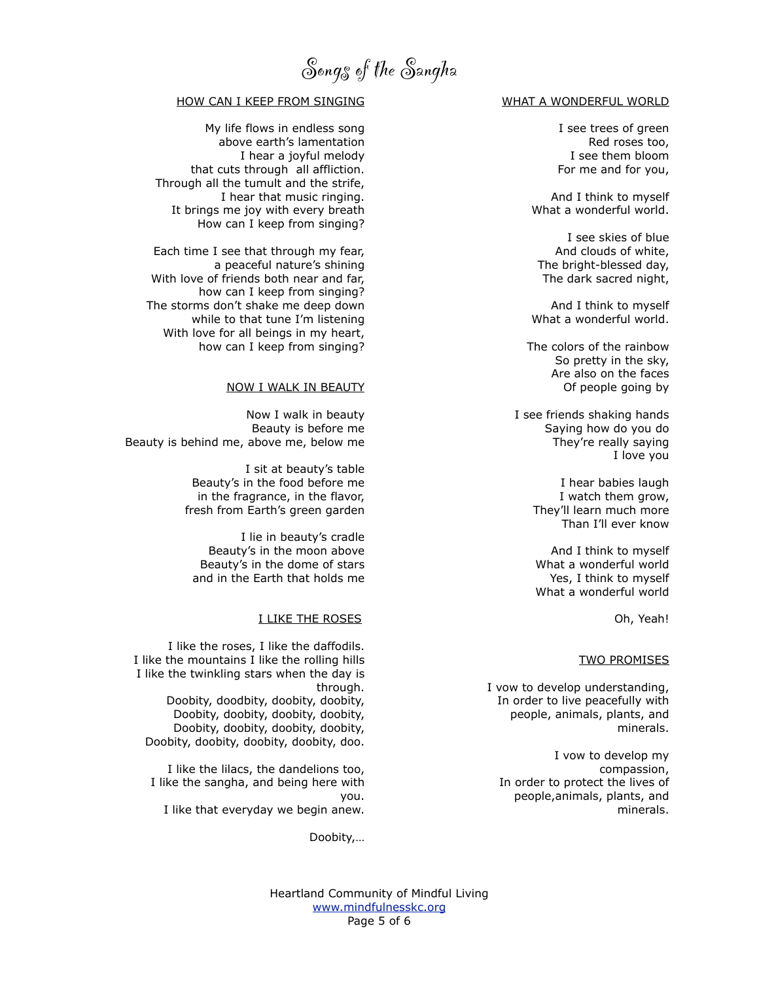## Songs of the Sangha

#### WHAT A WONDERFUL WORLD

I see trees of green Red roses too, I see them bloom For me and for you,

And I think to myself What a wonderful world.

I see skies of blue And clouds of white, The bright-blessed day, The dark sacred night,

And I think to myself What a wonderful world.

The colors of the rainbow So pretty in the sky, Are also on the faces Of people going by

I see friends shaking hands Saying how do you do They're really saying I love you

> I hear babies laugh I watch them grow, They'll learn much more Than I'll ever know

> And I think to myself What a wonderful world Yes, I think to myself What a wonderful world

> > Oh, Yeah!

#### TWO PROMISES

I vow to develop understanding, In order to live peacefully with people, animals, plants, and minerals.

I vow to develop my compassion, In order to protect the lives of people,animals, plants, and minerals.

## HOW CAN I KEEP FROM SINGING

My life flows in endless song above earth's lamentation I hear a joyful melody that cuts through all affliction. Through all the tumult and the strife, I hear that music ringing. It brings me joy with every breath How can I keep from singing?

Each time I see that through my fear, a peaceful nature's shining With love of friends both near and far, how can I keep from singing? The storms don't shake me deep down while to that tune I'm listening With love for all beings in my heart, how can I keep from singing?

## NOW I WALK IN BEAUTY

Now I walk in beauty Beauty is before me Beauty is behind me, above me, below me

> I sit at beauty's table Beauty's in the food before me in the fragrance, in the flavor, fresh from Earth's green garden

I lie in beauty's cradle Beauty's in the moon above Beauty's in the dome of stars and in the Earth that holds me

#### I LIKE THE ROSES

 I like the roses, I like the daffodils. I like the mountains I like the rolling hills I like the twinkling stars when the day is through. Doobity, doodbity, doobity, doobity, Doobity, doobity, doobity, doobity,

Doobity, doobity, doobity, doobity, Doobity, doobity, doobity, doobity, doo.

I like the lilacs, the dandelions too, I like the sangha, and being here with you. I like that everyday we begin anew.

Doobity,…